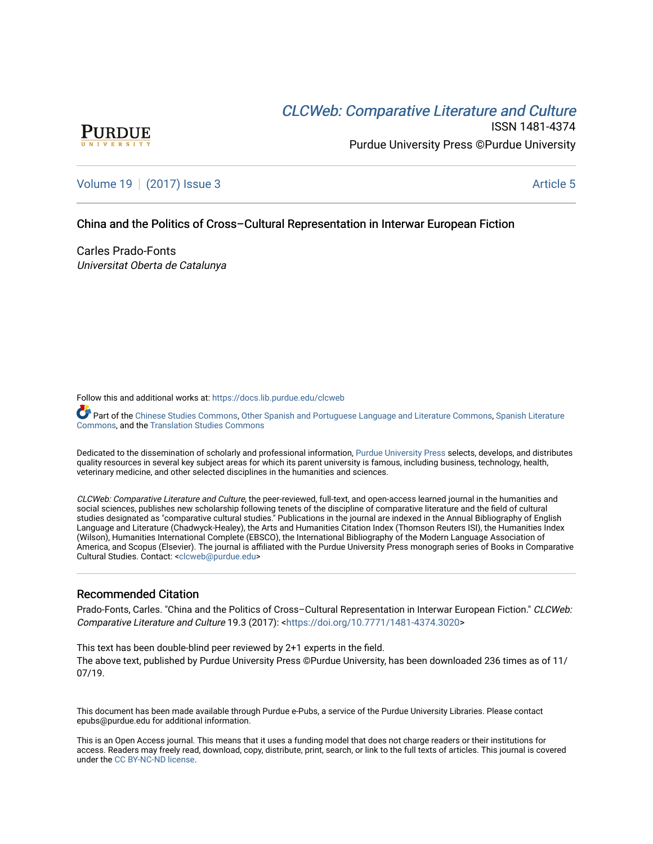# CLCW[eb: Comparative Liter](https://docs.lib.purdue.edu/clcweb)ature and Culture



ISSN 1481-4374 Purdue University Press ©Purdue University

[Volume 19](https://docs.lib.purdue.edu/clcweb/vol19) | [\(2017\) Issue 3](https://docs.lib.purdue.edu/clcweb/vol19/iss3) Article 5

### China and the Politics of Cross–Cultural Representation in Interwar European Fiction

Carles Prado-Fonts Universitat Oberta de Catalunya

Follow this and additional works at: [https://docs.lib.purdue.edu/clcweb](https://docs.lib.purdue.edu/clcweb?utm_source=docs.lib.purdue.edu%2Fclcweb%2Fvol19%2Fiss3%2F5&utm_medium=PDF&utm_campaign=PDFCoverPages)

Part of the [Chinese Studies Commons,](http://network.bepress.com/hgg/discipline/1081?utm_source=docs.lib.purdue.edu%2Fclcweb%2Fvol19%2Fiss3%2F5&utm_medium=PDF&utm_campaign=PDFCoverPages) [Other Spanish and Portuguese Language and Literature Commons,](http://network.bepress.com/hgg/discipline/551?utm_source=docs.lib.purdue.edu%2Fclcweb%2Fvol19%2Fiss3%2F5&utm_medium=PDF&utm_campaign=PDFCoverPages) Spanish Literature [Commons,](http://network.bepress.com/hgg/discipline/550?utm_source=docs.lib.purdue.edu%2Fclcweb%2Fvol19%2Fiss3%2F5&utm_medium=PDF&utm_campaign=PDFCoverPages) and the [Translation Studies Commons](http://network.bepress.com/hgg/discipline/1312?utm_source=docs.lib.purdue.edu%2Fclcweb%2Fvol19%2Fiss3%2F5&utm_medium=PDF&utm_campaign=PDFCoverPages)

Dedicated to the dissemination of scholarly and professional information, [Purdue University Press](http://www.thepress.purdue.edu/) selects, develops, and distributes quality resources in several key subject areas for which its parent university is famous, including business, technology, health, veterinary medicine, and other selected disciplines in the humanities and sciences.

CLCWeb: Comparative Literature and Culture, the peer-reviewed, full-text, and open-access learned journal in the humanities and social sciences, publishes new scholarship following tenets of the discipline of comparative literature and the field of cultural studies designated as "comparative cultural studies." Publications in the journal are indexed in the Annual Bibliography of English Language and Literature (Chadwyck-Healey), the Arts and Humanities Citation Index (Thomson Reuters ISI), the Humanities Index (Wilson), Humanities International Complete (EBSCO), the International Bibliography of the Modern Language Association of America, and Scopus (Elsevier). The journal is affiliated with the Purdue University Press monograph series of Books in Comparative Cultural Studies. Contact: [<clcweb@purdue.edu](mailto:clcweb@purdue.edu)>

#### Recommended Citation

Prado-Fonts, Carles. "China and the Politics of Cross–Cultural Representation in Interwar European Fiction." CLCWeb: Comparative Literature and Culture 19.3 (2017): <<https://doi.org/10.7771/1481-4374.3020>>

This text has been double-blind peer reviewed by 2+1 experts in the field. The above text, published by Purdue University Press ©Purdue University, has been downloaded 236 times as of 11/ 07/19.

This document has been made available through Purdue e-Pubs, a service of the Purdue University Libraries. Please contact epubs@purdue.edu for additional information.

This is an Open Access journal. This means that it uses a funding model that does not charge readers or their institutions for access. Readers may freely read, download, copy, distribute, print, search, or link to the full texts of articles. This journal is covered under the [CC BY-NC-ND license.](https://creativecommons.org/licenses/by-nc-nd/4.0/)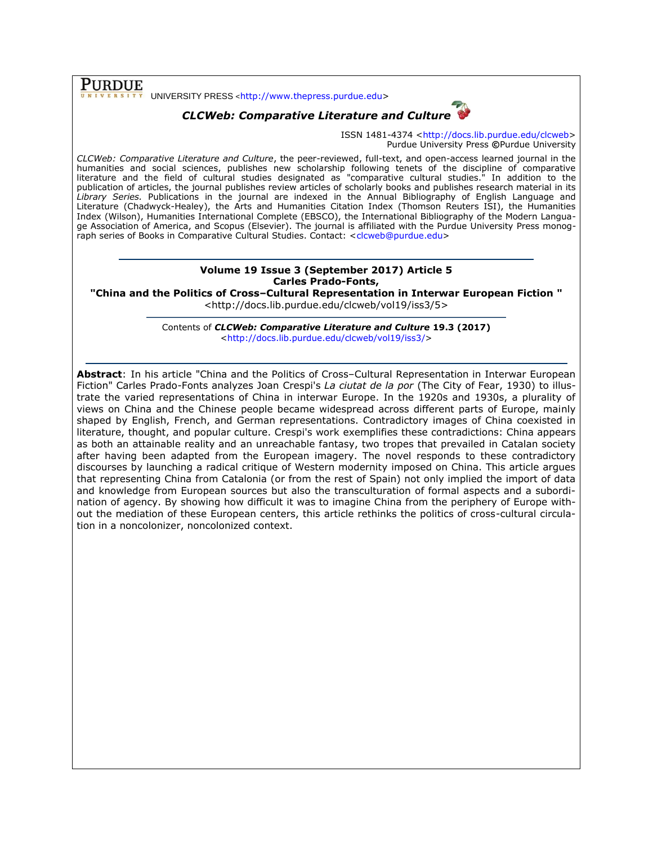**PURDUE** UNIVERSITY PRESS <[http://www.thepress.purdue.edu>](http://www.thepress.purdue.edu/)

## *CLCWeb: Comparative Literature and Culture*



ISSN 1481-4374 [<http://docs.lib.purdue.edu/clcweb>](http://docs.lib.purdue.edu/clcweb) Purdue University Press **©**Purdue University

*CLCWeb: Comparative Literature and Culture*, the peer-reviewed, full-text, and open-access learned journal in the humanities and social sciences, publishes new scholarship following tenets of the discipline of comparative literature and the field of cultural studies designated as "comparative cultural studies." In addition to the publication of articles, the journal publishes review articles of scholarly books and publishes research material in its *Library Series.* Publications in the journal are indexed in the Annual Bibliography of English Language and Literature (Chadwyck-Healey), the Arts and Humanities Citation Index (Thomson Reuters ISI), the Humanities Index (Wilson), Humanities International Complete (EBSCO), the International Bibliography of the Modern Language Association of America, and Scopus (Elsevier). The journal is affiliated with the Purdue University Press monog-raph series of Books in Comparative Cultural Studies. Contact: [<clcweb@purdue.edu>](mailto:clcweb@purdue.edu)

#### **Volume 19 Issue 3 (September 2017) Article 5 Carles Prado-Fonts,**

**"China and the Politics of Cross–Cultural Representation in Interwar European Fiction "** <http://docs.lib.purdue.edu/clcweb/vol19/iss3/5>

> Contents of *CLCWeb: Comparative Literature and Culture* **19.3 (2017)** [<http://docs.lib.purdue.edu/clcweb/vol19/iss3/>](http://docs.lib.purdue.edu/clcweb/vol19/iss1/)

**Abstract**: In his article "China and the Politics of Cross–Cultural Representation in Interwar European Fiction" Carles Prado-Fonts analyzes Joan Crespi's *La ciutat de la por* (The City of Fear, 1930) to illustrate the varied representations of China in interwar Europe. In the 1920s and 1930s, a plurality of views on China and the Chinese people became widespread across different parts of Europe, mainly shaped by English, French, and German representations. Contradictory images of China coexisted in literature, thought, and popular culture. Crespi's work exemplifies these contradictions: China appears as both an attainable reality and an unreachable fantasy, two tropes that prevailed in Catalan society after having been adapted from the European imagery. The novel responds to these contradictory discourses by launching a radical critique of Western modernity imposed on China. This article argues that representing China from Catalonia (or from the rest of Spain) not only implied the import of data and knowledge from European sources but also the transculturation of formal aspects and a subordination of agency. By showing how difficult it was to imagine China from the periphery of Europe without the mediation of these European centers, this article rethinks the politics of cross-cultural circulation in a noncolonizer, noncolonized context.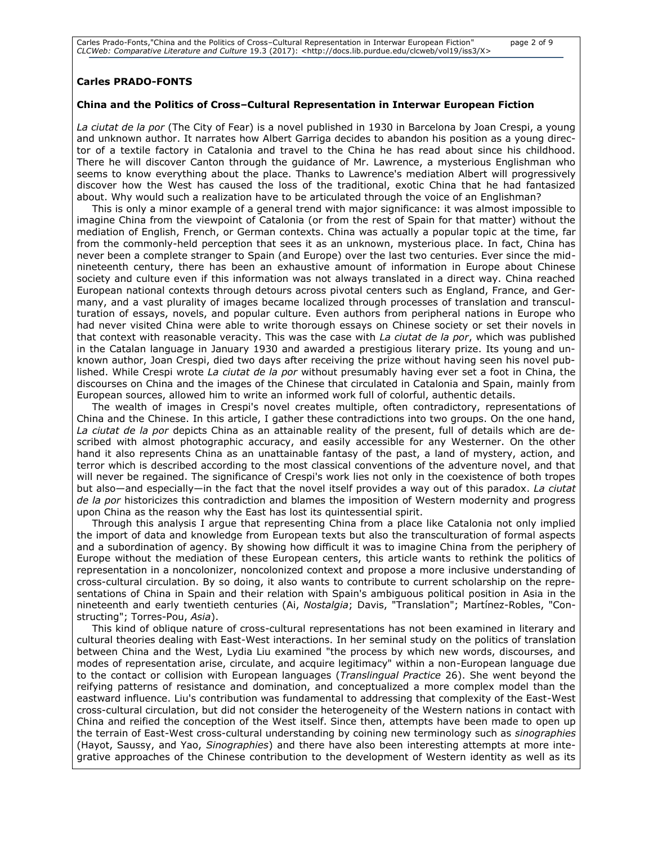#### **Carles PRADO-FONTS**

#### **China and the Politics of Cross–Cultural Representation in Interwar European Fiction**

*La ciutat de la por* (The City of Fear) is a novel published in 1930 in Barcelona by Joan Crespi, a young and unknown author. It narrates how Albert Garriga decides to abandon his position as a young director of a textile factory in Catalonia and travel to the China he has read about since his childhood. There he will discover Canton through the guidance of Mr. Lawrence, a mysterious Englishman who seems to know everything about the place. Thanks to Lawrence's mediation Albert will progressively discover how the West has caused the loss of the traditional, exotic China that he had fantasized about. Why would such a realization have to be articulated through the voice of an Englishman?

This is only a minor example of a general trend with major significance: it was almost impossible to imagine China from the viewpoint of Catalonia (or from the rest of Spain for that matter) without the mediation of English, French, or German contexts. China was actually a popular topic at the time, far from the commonly-held perception that sees it as an unknown, mysterious place. In fact, China has never been a complete stranger to Spain (and Europe) over the last two centuries. Ever since the midnineteenth century, there has been an exhaustive amount of information in Europe about Chinese society and culture even if this information was not always translated in a direct way. China reached European national contexts through detours across pivotal centers such as England, France, and Germany, and a vast plurality of images became localized through processes of translation and transculturation of essays, novels, and popular culture. Even authors from peripheral nations in Europe who had never visited China were able to write thorough essays on Chinese society or set their novels in that context with reasonable veracity. This was the case with *La ciutat de la por*, which was published in the Catalan language in January 1930 and awarded a prestigious literary prize. Its young and unknown author, Joan Crespi, died two days after receiving the prize without having seen his novel published. While Crespi wrote *La ciutat de la por* without presumably having ever set a foot in China, the discourses on China and the images of the Chinese that circulated in Catalonia and Spain, mainly from European sources, allowed him to write an informed work full of colorful, authentic details.

The wealth of images in Crespi's novel creates multiple, often contradictory, representations of China and the Chinese. In this article, I gather these contradictions into two groups. On the one hand, *La ciutat de la por* depicts China as an attainable reality of the present, full of details which are described with almost photographic accuracy, and easily accessible for any Westerner. On the other hand it also represents China as an unattainable fantasy of the past, a land of mystery, action, and terror which is described according to the most classical conventions of the adventure novel, and that will never be regained. The significance of Crespi's work lies not only in the coexistence of both tropes but also—and especially—in the fact that the novel itself provides a way out of this paradox. *La ciutat de la por* historicizes this contradiction and blames the imposition of Western modernity and progress upon China as the reason why the East has lost its quintessential spirit.

Through this analysis I argue that representing China from a place like Catalonia not only implied the import of data and knowledge from European texts but also the transculturation of formal aspects and a subordination of agency. By showing how difficult it was to imagine China from the periphery of Europe without the mediation of these European centers, this article wants to rethink the politics of representation in a noncolonizer, noncolonized context and propose a more inclusive understanding of cross-cultural circulation. By so doing, it also wants to contribute to current scholarship on the representations of China in Spain and their relation with Spain's ambiguous political position in Asia in the nineteenth and early twentieth centuries (Ai, *Nostalgia*; Davis, "Translation"; Martínez-Robles, "Constructing"; Torres-Pou, *Asia*).

This kind of oblique nature of cross-cultural representations has not been examined in literary and cultural theories dealing with East-West interactions. In her seminal study on the politics of translation between China and the West, Lydia Liu examined "the process by which new words, discourses, and modes of representation arise, circulate, and acquire legitimacy" within a non-European language due to the contact or collision with European languages (*Translingual Practice* 26). She went beyond the reifying patterns of resistance and domination, and conceptualized a more complex model than the eastward influence. Liu's contribution was fundamental to addressing that complexity of the East-West cross-cultural circulation, but did not consider the heterogeneity of the Western nations in contact with China and reified the conception of the West itself. Since then, attempts have been made to open up the terrain of East-West cross-cultural understanding by coining new terminology such as *sinographies* (Hayot, Saussy, and Yao, *Sinographies*) and there have also been interesting attempts at more integrative approaches of the Chinese contribution to the development of Western identity as well as its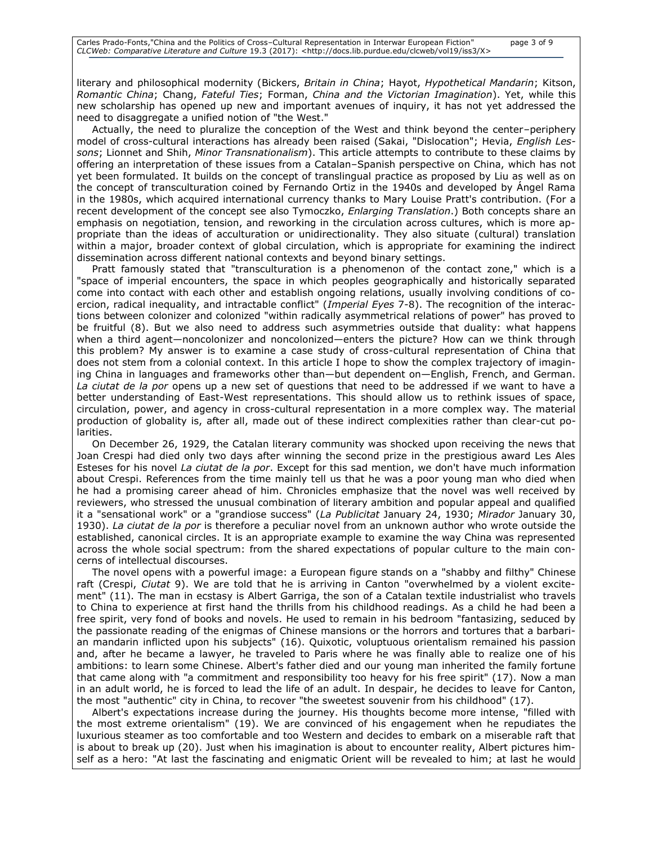literary and philosophical modernity (Bickers, *Britain in China*; Hayot, *Hypothetical Mandarin*; Kitson, *Romantic China*; Chang, *Fateful Ties*; Forman, *China and the Victorian Imagination*). Yet, while this new scholarship has opened up new and important avenues of inquiry, it has not yet addressed the need to disaggregate a unified notion of "the West."

Actually, the need to pluralize the conception of the West and think beyond the center–periphery model of cross-cultural interactions has already been raised (Sakai, "Dislocation"; Hevia, *English Lessons*; Lionnet and Shih, *Minor Transnationalism*). This article attempts to contribute to these claims by offering an interpretation of these issues from a Catalan–Spanish perspective on China, which has not yet been formulated. It builds on the concept of translingual practice as proposed by Liu as well as on the concept of transculturation coined by Fernando Ortiz in the 1940s and developed by Ángel Rama in the 1980s, which acquired international currency thanks to Mary Louise Pratt's contribution. (For a recent development of the concept see also Tymoczko, *Enlarging Translation*.) Both concepts share an emphasis on negotiation, tension, and reworking in the circulation across cultures, which is more appropriate than the ideas of acculturation or unidirectionality. They also situate (cultural) translation within a major, broader context of global circulation, which is appropriate for examining the indirect dissemination across different national contexts and beyond binary settings.

Pratt famously stated that "transculturation is a phenomenon of the contact zone," which is a "space of imperial encounters, the space in which peoples geographically and historically separated come into contact with each other and establish ongoing relations, usually involving conditions of coercion, radical inequality, and intractable conflict" (*Imperial Eyes* 7-8). The recognition of the interactions between colonizer and colonized "within radically asymmetrical relations of power" has proved to be fruitful (8). But we also need to address such asymmetries outside that duality: what happens when a third agent—noncolonizer and noncolonized—enters the picture? How can we think through this problem? My answer is to examine a case study of cross-cultural representation of China that does not stem from a colonial context. In this article I hope to show the complex trajectory of imagining China in languages and frameworks other than—but dependent on—English, French, and German. *La ciutat de la por* opens up a new set of questions that need to be addressed if we want to have a better understanding of East-West representations. This should allow us to rethink issues of space, circulation, power, and agency in cross-cultural representation in a more complex way. The material production of globality is, after all, made out of these indirect complexities rather than clear-cut polarities.

On December 26, 1929, the Catalan literary community was shocked upon receiving the news that Joan Crespi had died only two days after winning the second prize in the prestigious award Les Ales Esteses for his novel *La ciutat de la por*. Except for this sad mention, we don't have much information about Crespi. References from the time mainly tell us that he was a poor young man who died when he had a promising career ahead of him. Chronicles emphasize that the novel was well received by reviewers, who stressed the unusual combination of literary ambition and popular appeal and qualified it a "sensational work" or a "grandiose success" (*La Publicitat* January 24, 1930; *Mirador* January 30, 1930). *La ciutat de la por* is therefore a peculiar novel from an unknown author who wrote outside the established, canonical circles. It is an appropriate example to examine the way China was represented across the whole social spectrum: from the shared expectations of popular culture to the main concerns of intellectual discourses.

The novel opens with a powerful image: a European figure stands on a "shabby and filthy" Chinese raft (Crespi, *Ciutat* 9). We are told that he is arriving in Canton "overwhelmed by a violent excitement" (11). The man in ecstasy is Albert Garriga, the son of a Catalan textile industrialist who travels to China to experience at first hand the thrills from his childhood readings. As a child he had been a free spirit, very fond of books and novels. He used to remain in his bedroom "fantasizing, seduced by the passionate reading of the enigmas of Chinese mansions or the horrors and tortures that a barbarian mandarin inflicted upon his subjects" (16). Quixotic, voluptuous orientalism remained his passion and, after he became a lawyer, he traveled to Paris where he was finally able to realize one of his ambitions: to learn some Chinese. Albert's father died and our young man inherited the family fortune that came along with "a commitment and responsibility too heavy for his free spirit" (17). Now a man in an adult world, he is forced to lead the life of an adult. In despair, he decides to leave for Canton, the most "authentic" city in China, to recover "the sweetest souvenir from his childhood" (17).

Albert's expectations increase during the journey. His thoughts become more intense, "filled with the most extreme orientalism" (19). We are convinced of his engagement when he repudiates the luxurious steamer as too comfortable and too Western and decides to embark on a miserable raft that is about to break up (20). Just when his imagination is about to encounter reality, Albert pictures himself as a hero: "At last the fascinating and enigmatic Orient will be revealed to him; at last he would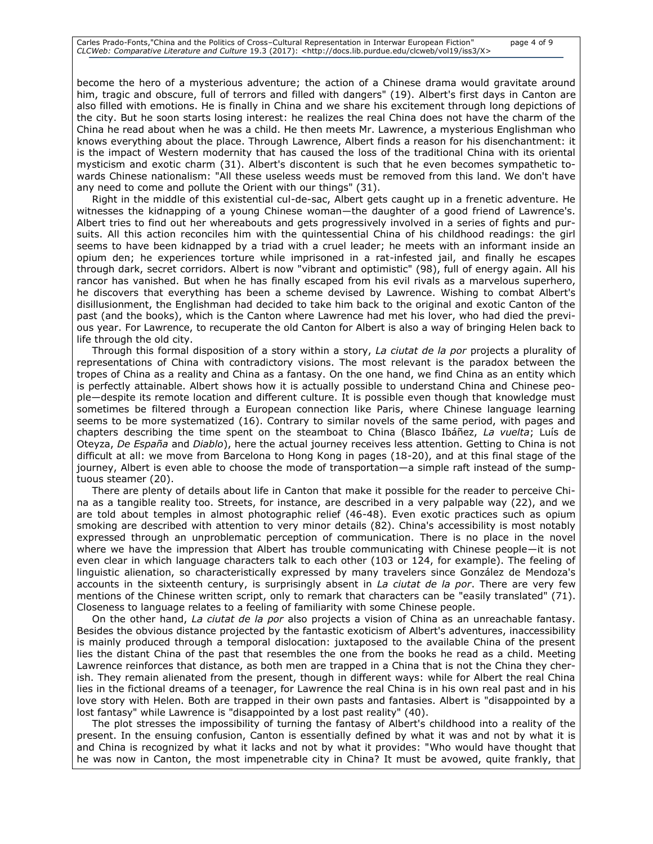become the hero of a mysterious adventure; the action of a Chinese drama would gravitate around him, tragic and obscure, full of terrors and filled with dangers" (19). Albert's first days in Canton are also filled with emotions. He is finally in China and we share his excitement through long depictions of the city. But he soon starts losing interest: he realizes the real China does not have the charm of the China he read about when he was a child. He then meets Mr. Lawrence, a mysterious Englishman who knows everything about the place. Through Lawrence, Albert finds a reason for his disenchantment: it is the impact of Western modernity that has caused the loss of the traditional China with its oriental mysticism and exotic charm (31). Albert's discontent is such that he even becomes sympathetic towards Chinese nationalism: "All these useless weeds must be removed from this land. We don't have any need to come and pollute the Orient with our things" (31).

Right in the middle of this existential cul-de-sac, Albert gets caught up in a frenetic adventure. He witnesses the kidnapping of a young Chinese woman—the daughter of a good friend of Lawrence's. Albert tries to find out her whereabouts and gets progressively involved in a series of fights and pursuits. All this action reconciles him with the quintessential China of his childhood readings: the girl seems to have been kidnapped by a triad with a cruel leader; he meets with an informant inside an opium den; he experiences torture while imprisoned in a rat-infested jail, and finally he escapes through dark, secret corridors. Albert is now "vibrant and optimistic" (98), full of energy again. All his rancor has vanished. But when he has finally escaped from his evil rivals as a marvelous superhero, he discovers that everything has been a scheme devised by Lawrence. Wishing to combat Albert's disillusionment, the Englishman had decided to take him back to the original and exotic Canton of the past (and the books), which is the Canton where Lawrence had met his lover, who had died the previous year. For Lawrence, to recuperate the old Canton for Albert is also a way of bringing Helen back to life through the old city.

Through this formal disposition of a story within a story, *La ciutat de la por* projects a plurality of representations of China with contradictory visions. The most relevant is the paradox between the tropes of China as a reality and China as a fantasy. On the one hand, we find China as an entity which is perfectly attainable. Albert shows how it is actually possible to understand China and Chinese people—despite its remote location and different culture. It is possible even though that knowledge must sometimes be filtered through a European connection like Paris, where Chinese language learning seems to be more systematized (16). Contrary to similar novels of the same period, with pages and chapters describing the time spent on the steamboat to China (Blasco Ibáñez, *La vuelta*; Luís de Oteyza, *De España* and *Diablo*), here the actual journey receives less attention. Getting to China is not difficult at all: we move from Barcelona to Hong Kong in pages (18-20), and at this final stage of the journey, Albert is even able to choose the mode of transportation—a simple raft instead of the sumptuous steamer (20).

There are plenty of details about life in Canton that make it possible for the reader to perceive China as a tangible reality too. Streets, for instance, are described in a very palpable way (22), and we are told about temples in almost photographic relief (46-48). Even exotic practices such as opium smoking are described with attention to very minor details (82). China's accessibility is most notably expressed through an unproblematic perception of communication. There is no place in the novel where we have the impression that Albert has trouble communicating with Chinese people—it is not even clear in which language characters talk to each other (103 or 124, for example). The feeling of linguistic alienation, so characteristically expressed by many travelers since González de Mendoza's accounts in the sixteenth century, is surprisingly absent in *La ciutat de la por*. There are very few mentions of the Chinese written script, only to remark that characters can be "easily translated" (71). Closeness to language relates to a feeling of familiarity with some Chinese people.

On the other hand, *La ciutat de la por* also projects a vision of China as an unreachable fantasy. Besides the obvious distance projected by the fantastic exoticism of Albert's adventures, inaccessibility is mainly produced through a temporal dislocation: juxtaposed to the available China of the present lies the distant China of the past that resembles the one from the books he read as a child. Meeting Lawrence reinforces that distance, as both men are trapped in a China that is not the China they cherish. They remain alienated from the present, though in different ways: while for Albert the real China lies in the fictional dreams of a teenager, for Lawrence the real China is in his own real past and in his love story with Helen. Both are trapped in their own pasts and fantasies. Albert is "disappointed by a lost fantasy" while Lawrence is "disappointed by a lost past reality" (40).

The plot stresses the impossibility of turning the fantasy of Albert's childhood into a reality of the present. In the ensuing confusion, Canton is essentially defined by what it was and not by what it is and China is recognized by what it lacks and not by what it provides: "Who would have thought that he was now in Canton, the most impenetrable city in China? It must be avowed, quite frankly, that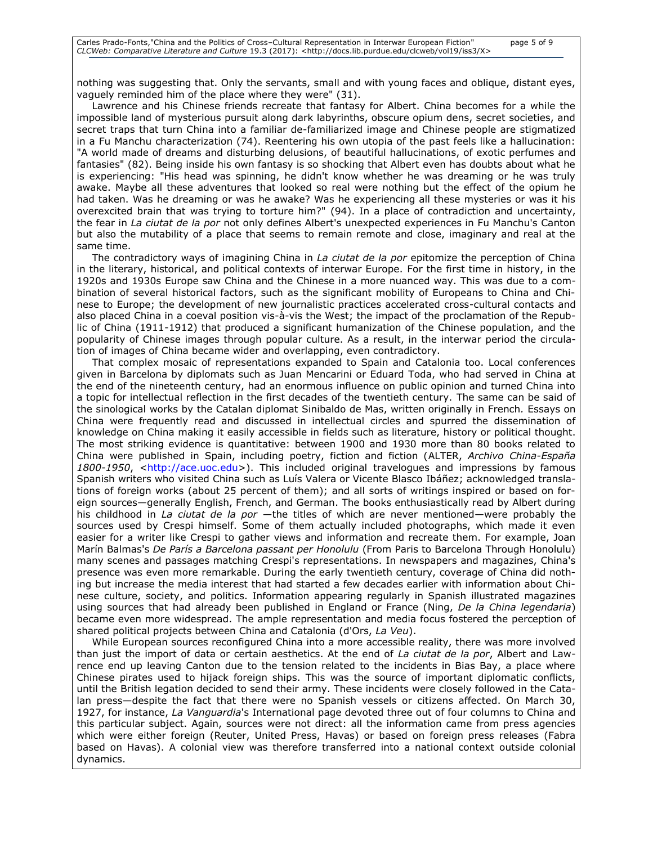nothing was suggesting that. Only the servants, small and with young faces and oblique, distant eyes, vaguely reminded him of the place where they were" (31).

Lawrence and his Chinese friends recreate that fantasy for Albert. China becomes for a while the impossible land of mysterious pursuit along dark labyrinths, obscure opium dens, secret societies, and secret traps that turn China into a familiar de-familiarized image and Chinese people are stigmatized in a Fu Manchu characterization (74). Reentering his own utopia of the past feels like a hallucination: "A world made of dreams and disturbing delusions, of beautiful hallucinations, of exotic perfumes and fantasies" (82). Being inside his own fantasy is so shocking that Albert even has doubts about what he is experiencing: "His head was spinning, he didn't know whether he was dreaming or he was truly awake. Maybe all these adventures that looked so real were nothing but the effect of the opium he had taken. Was he dreaming or was he awake? Was he experiencing all these mysteries or was it his overexcited brain that was trying to torture him?" (94). In a place of contradiction and uncertainty, the fear in *La ciutat de la por* not only defines Albert's unexpected experiences in Fu Manchu's Canton but also the mutability of a place that seems to remain remote and close, imaginary and real at the same time.

The contradictory ways of imagining China in *La ciutat de la por* epitomize the perception of China in the literary, historical, and political contexts of interwar Europe. For the first time in history, in the 1920s and 1930s Europe saw China and the Chinese in a more nuanced way. This was due to a combination of several historical factors, such as the significant mobility of Europeans to China and Chinese to Europe; the development of new journalistic practices accelerated cross-cultural contacts and also placed China in a coeval position vis-à-vis the West; the impact of the proclamation of the Republic of China (1911-1912) that produced a significant humanization of the Chinese population, and the popularity of Chinese images through popular culture. As a result, in the interwar period the circulation of images of China became wider and overlapping, even contradictory.

That complex mosaic of representations expanded to Spain and Catalonia too. Local conferences given in Barcelona by diplomats such as Juan Mencarini or Eduard Toda, who had served in China at the end of the nineteenth century, had an enormous influence on public opinion and turned China into a topic for intellectual reflection in the first decades of the twentieth century. The same can be said of the sinological works by the Catalan diplomat Sinibaldo de Mas, written originally in French*.* Essays on China were frequently read and discussed in intellectual circles and spurred the dissemination of knowledge on China making it easily accessible in fields such as literature, history or political thought. The most striking evidence is quantitative: between 1900 and 1930 more than 80 books related to China were published in Spain, including poetry, fiction and fiction (ALTER, *Archivo China-España*  1800-1950, [<http://ace.uoc.edu>](http://ace.uoc.edu/)). This included original travelogues and impressions by famous Spanish writers who visited China such as Luís Valera or Vicente Blasco Ibáñez; acknowledged translations of foreign works (about 25 percent of them); and all sorts of writings inspired or based on foreign sources—generally English, French, and German. The books enthusiastically read by Albert during his childhood in *La ciutat de la por* —the titles of which are never mentioned—were probably the sources used by Crespi himself. Some of them actually included photographs, which made it even easier for a writer like Crespi to gather views and information and recreate them. For example, Joan Marín Balmas's *De París a Barcelona passant per Honolulu* (From Paris to Barcelona Through Honolulu) many scenes and passages matching Crespi's representations. In newspapers and magazines, China's presence was even more remarkable. During the early twentieth century, coverage of China did nothing but increase the media interest that had started a few decades earlier with information about Chinese culture, society, and politics. Information appearing regularly in Spanish illustrated magazines using sources that had already been published in England or France (Ning, *De la China legendaria*) became even more widespread. The ample representation and media focus fostered the perception of shared political projects between China and Catalonia (d'Ors, *La Veu*).

While European sources reconfigured China into a more accessible reality, there was more involved than just the import of data or certain aesthetics. At the end of *La ciutat de la por*, Albert and Lawrence end up leaving Canton due to the tension related to the incidents in Bias Bay, a place where Chinese pirates used to hijack foreign ships. This was the source of important diplomatic conflicts, until the British legation decided to send their army. These incidents were closely followed in the Catalan press—despite the fact that there were no Spanish vessels or citizens affected. On March 30, 1927, for instance, *La Vanguardia*'s International page devoted three out of four columns to China and this particular subject. Again, sources were not direct: all the information came from press agencies which were either foreign (Reuter, United Press, Havas) or based on foreign press releases (Fabra based on Havas). A colonial view was therefore transferred into a national context outside colonial dynamics.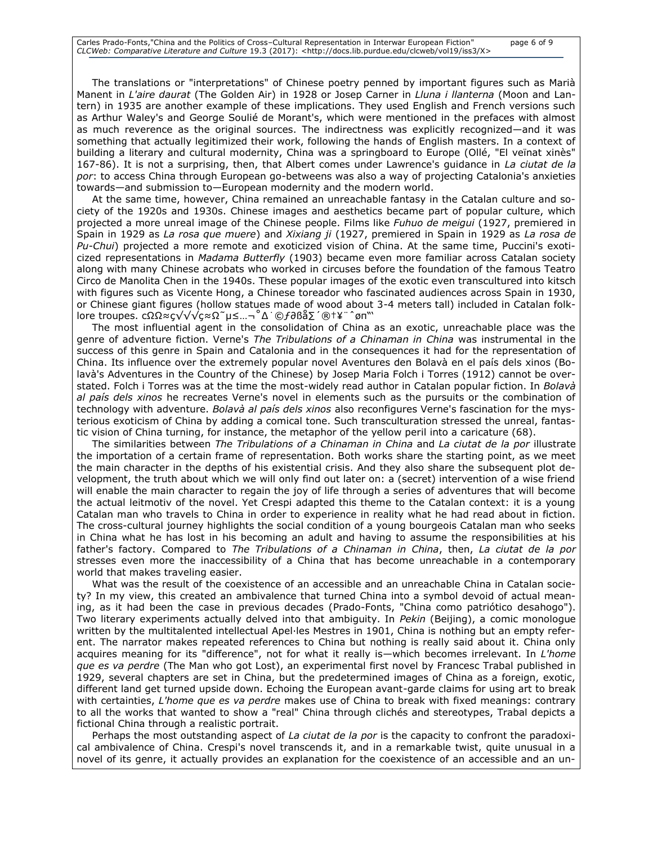The translations or "interpretations" of Chinese poetry penned by important figures such as Marià Manent in *L'aire daurat* (The Golden Air) in 1928 or Josep Carner in *Lluna i llanterna* (Moon and Lantern) in 1935 are another example of these implications. They used English and French versions such as Arthur Waley's and George Soulié de Morant's, which were mentioned in the prefaces with almost as much reverence as the original sources. The indirectness was explicitly recognized—and it was something that actually legitimized their work, following the hands of English masters. In a context of building a literary and cultural modernity, China was a springboard to Europe (Ollé, "El veïnat xinès" 167-86). It is not a surprising, then, that Albert comes under Lawrence's guidance in *La ciutat de la por*: to access China through European go-betweens was also a way of projecting Catalonia's anxieties towards—and submission to—European modernity and the modern world.

At the same time, however, China remained an unreachable fantasy in the Catalan culture and society of the 1920s and 1930s. Chinese images and aesthetics became part of popular culture, which projected a more unreal image of the Chinese people. Films like *Fuhuo de meigui* (1927, premiered in Spain in 1929 as *La rosa que muere*) and *Xixiang ji* (1927, premiered in Spain in 1929 as *La rosa de Pu-Chui*) projected a more remote and exoticized vision of China. At the same time, Puccini's exoticized representations in *Madama Butterfly* (1903) became even more familiar across Catalan society along with many Chinese acrobats who worked in circuses before the foundation of the famous Teatro Circo de Manolita Chen in the 1940s. These popular images of the exotic even transcultured into kitsch with figures such as Vicente Hong, a Chinese toreador who fascinated audiences across Spain in 1930, or Chinese giant figures (hollow statues made of wood about 3-4 meters tall) included in Catalan folklore troupes. cΩΩ≈ç√√√ç≈Ω˜µ≤…¬˚∆˙©ƒ∂ßå∑´®†¥¨ˆøπ"'

The most influential agent in the consolidation of China as an exotic, unreachable place was the genre of adventure fiction. Verne's *The Tribulations of a Chinaman in China* was instrumental in the success of this genre in Spain and Catalonia and in the consequences it had for the representation of China. Its influence over the extremely popular novel Aventures den Bolavà en el país dels xinos (Bolavà's Adventures in the Country of the Chinese) by Josep Maria Folch i Torres (1912) cannot be overstated. Folch i Torres was at the time the most-widely read author in Catalan popular fiction. In *Bolavà al país dels xinos* he recreates Verne's novel in elements such as the pursuits or the combination of technology with adventure. *Bolavà al país dels xinos* also reconfigures Verne's fascination for the mysterious exoticism of China by adding a comical tone. Such transculturation stressed the unreal, fantastic vision of China turning, for instance, the metaphor of the yellow peril into a caricature (68).

The similarities between *The Tribulations of a Chinaman in China* and *La ciutat de la por* illustrate the importation of a certain frame of representation. Both works share the starting point, as we meet the main character in the depths of his existential crisis. And they also share the subsequent plot development, the truth about which we will only find out later on: a (secret) intervention of a wise friend will enable the main character to regain the joy of life through a series of adventures that will become the actual leitmotiv of the novel. Yet Crespi adapted this theme to the Catalan context: it is a young Catalan man who travels to China in order to experience in reality what he had read about in fiction. The cross-cultural journey highlights the social condition of a young bourgeois Catalan man who seeks in China what he has lost in his becoming an adult and having to assume the responsibilities at his father's factory. Compared to *The Tribulations of a Chinaman in China*, then, *La ciutat de la por*  stresses even more the inaccessibility of a China that has become unreachable in a contemporary world that makes traveling easier.

What was the result of the coexistence of an accessible and an unreachable China in Catalan society? In my view, this created an ambivalence that turned China into a symbol devoid of actual meaning, as it had been the case in previous decades (Prado-Fonts, "China como patriótico desahogo"). Two literary experiments actually delved into that ambiguity. In *Pekin* (Beijing), a comic monologue written by the multitalented intellectual Apel·les Mestres in 1901, China is nothing but an empty referent. The narrator makes repeated references to China but nothing is really said about it. China only acquires meaning for its "difference", not for what it really is—which becomes irrelevant. In *L'home que es va perdre* (The Man who got Lost), an experimental first novel by Francesc Trabal published in 1929, several chapters are set in China, but the predetermined images of China as a foreign, exotic, different land get turned upside down. Echoing the European avant-garde claims for using art to break with certainties, *L'home que es va perdre* makes use of China to break with fixed meanings: contrary to all the works that wanted to show a "real" China through clichés and stereotypes, Trabal depicts a fictional China through a realistic portrait.

Perhaps the most outstanding aspect of *La ciutat de la por* is the capacity to confront the paradoxical ambivalence of China. Crespi's novel transcends it, and in a remarkable twist, quite unusual in a novel of its genre, it actually provides an explanation for the coexistence of an accessible and an un-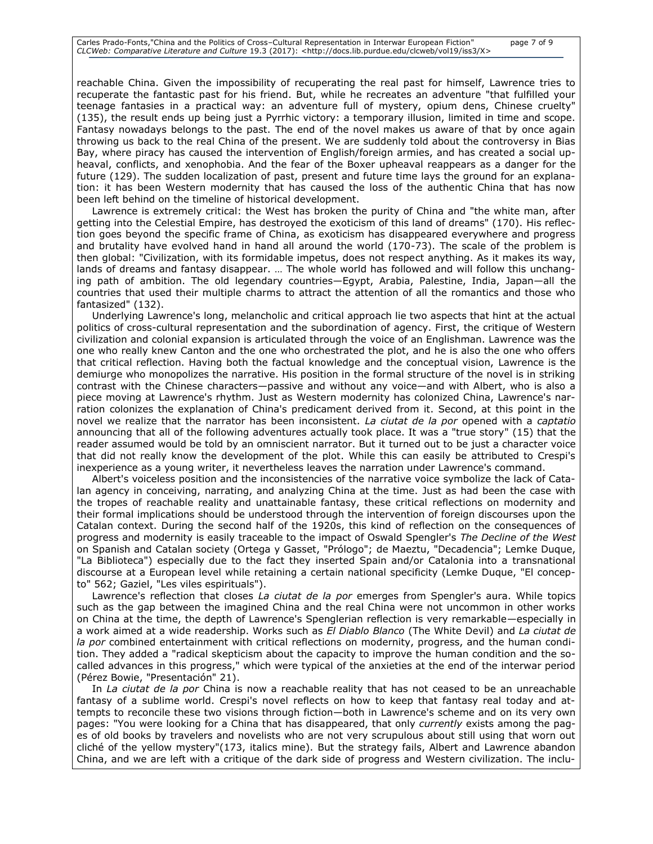reachable China. Given the impossibility of recuperating the real past for himself, Lawrence tries to recuperate the fantastic past for his friend. But, while he recreates an adventure "that fulfilled your teenage fantasies in a practical way: an adventure full of mystery, opium dens, Chinese cruelty" (135), the result ends up being just a Pyrrhic victory: a temporary illusion, limited in time and scope. Fantasy nowadays belongs to the past. The end of the novel makes us aware of that by once again throwing us back to the real China of the present. We are suddenly told about the controversy in Bias Bay, where piracy has caused the intervention of English/foreign armies, and has created a social upheaval, conflicts, and xenophobia. And the fear of the Boxer upheaval reappears as a danger for the future (129). The sudden localization of past, present and future time lays the ground for an explanation: it has been Western modernity that has caused the loss of the authentic China that has now been left behind on the timeline of historical development.

Lawrence is extremely critical: the West has broken the purity of China and "the white man, after getting into the Celestial Empire, has destroyed the exoticism of this land of dreams" (170). His reflection goes beyond the specific frame of China, as exoticism has disappeared everywhere and progress and brutality have evolved hand in hand all around the world (170-73). The scale of the problem is then global: "Civilization, with its formidable impetus, does not respect anything. As it makes its way, lands of dreams and fantasy disappear. … The whole world has followed and will follow this unchanging path of ambition. The old legendary countries—Egypt, Arabia, Palestine, India, Japan—all the countries that used their multiple charms to attract the attention of all the romantics and those who fantasized" (132).

Underlying Lawrence's long, melancholic and critical approach lie two aspects that hint at the actual politics of cross-cultural representation and the subordination of agency. First, the critique of Western civilization and colonial expansion is articulated through the voice of an Englishman. Lawrence was the one who really knew Canton and the one who orchestrated the plot, and he is also the one who offers that critical reflection. Having both the factual knowledge and the conceptual vision, Lawrence is the demiurge who monopolizes the narrative. His position in the formal structure of the novel is in striking contrast with the Chinese characters—passive and without any voice—and with Albert, who is also a piece moving at Lawrence's rhythm. Just as Western modernity has colonized China, Lawrence's narration colonizes the explanation of China's predicament derived from it. Second, at this point in the novel we realize that the narrator has been inconsistent. *La ciutat de la por* opened with a *captatio* announcing that all of the following adventures actually took place. It was a "true story" (15) that the reader assumed would be told by an omniscient narrator. But it turned out to be just a character voice that did not really know the development of the plot. While this can easily be attributed to Crespi's inexperience as a young writer, it nevertheless leaves the narration under Lawrence's command.

Albert's voiceless position and the inconsistencies of the narrative voice symbolize the lack of Catalan agency in conceiving, narrating, and analyzing China at the time. Just as had been the case with the tropes of reachable reality and unattainable fantasy, these critical reflections on modernity and their formal implications should be understood through the intervention of foreign discourses upon the Catalan context. During the second half of the 1920s, this kind of reflection on the consequences of progress and modernity is easily traceable to the impact of Oswald Spengler's *The Decline of the West* on Spanish and Catalan society (Ortega y Gasset, "Prólogo"; de Maeztu, "Decadencia"; Lemke Duque, "La Biblioteca") especially due to the fact they inserted Spain and/or Catalonia into a transnational discourse at a European level while retaining a certain national specificity (Lemke Duque, "El concepto" 562; Gaziel, "Les viles espirituals").

Lawrence's reflection that closes *La ciutat de la por* emerges from Spengler's aura. While topics such as the gap between the imagined China and the real China were not uncommon in other works on China at the time, the depth of Lawrence's Spenglerian reflection is very remarkable—especially in a work aimed at a wide readership. Works such as *El Diablo Blanco* (The White Devil) and *La ciutat de la por* combined entertainment with critical reflections on modernity, progress, and the human condition. They added a "radical skepticism about the capacity to improve the human condition and the socalled advances in this progress," which were typical of the anxieties at the end of the interwar period (Pérez Bowie, "Presentación" 21).

In *La ciutat de la por* China is now a reachable reality that has not ceased to be an unreachable fantasy of a sublime world. Crespi's novel reflects on how to keep that fantasy real today and attempts to reconcile these two visions through fiction—both in Lawrence's scheme and on its very own pages: "You were looking for a China that has disappeared, that only *currently* exists among the pages of old books by travelers and novelists who are not very scrupulous about still using that worn out cliché of the yellow mystery"(173, italics mine). But the strategy fails, Albert and Lawrence abandon China, and we are left with a critique of the dark side of progress and Western civilization. The inclu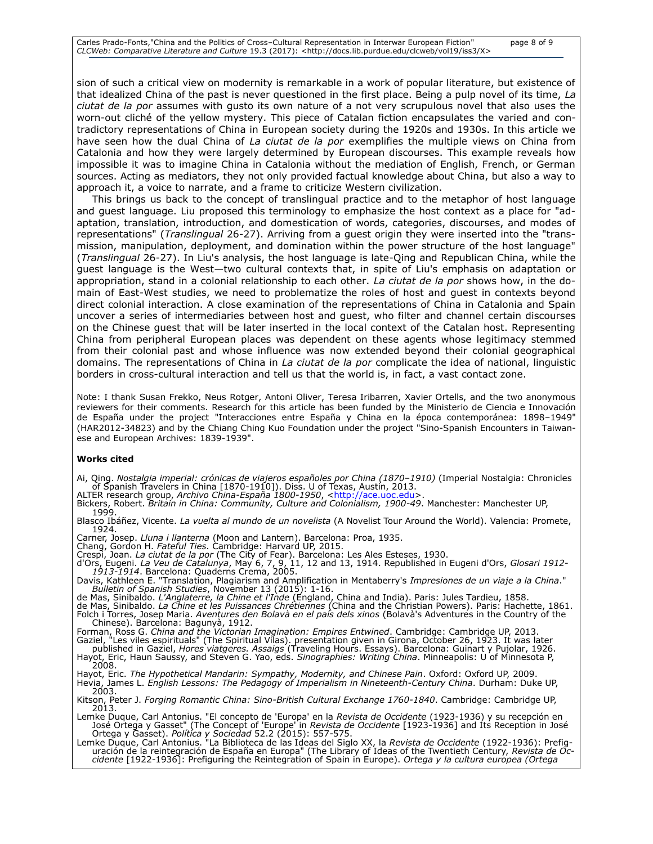sion of such a critical view on modernity is remarkable in a work of popular literature, but existence of that idealized China of the past is never questioned in the first place. Being a pulp novel of its time, *La ciutat de la por* assumes with gusto its own nature of a not very scrupulous novel that also uses the worn-out cliché of the yellow mystery. This piece of Catalan fiction encapsulates the varied and contradictory representations of China in European society during the 1920s and 1930s. In this article we have seen how the dual China of *La ciutat de la por* exemplifies the multiple views on China from Catalonia and how they were largely determined by European discourses. This example reveals how impossible it was to imagine China in Catalonia without the mediation of English, French, or German sources. Acting as mediators, they not only provided factual knowledge about China, but also a way to approach it, a voice to narrate, and a frame to criticize Western civilization.

This brings us back to the concept of translingual practice and to the metaphor of host language and guest language. Liu proposed this terminology to emphasize the host context as a place for "adaptation, translation, introduction, and domestication of words, categories, discourses, and modes of representations" (*Translingual* 26-27). Arriving from a guest origin they were inserted into the "transmission, manipulation, deployment, and domination within the power structure of the host language" (*Translingual* 26-27). In Liu's analysis, the host language is late-Qing and Republican China, while the guest language is the West—two cultural contexts that, in spite of Liu's emphasis on adaptation or appropriation, stand in a colonial relationship to each other. *La ciutat de la por* shows how, in the domain of East-West studies, we need to problematize the roles of host and guest in contexts beyond direct colonial interaction. A close examination of the representations of China in Catalonia and Spain uncover a series of intermediaries between host and guest, who filter and channel certain discourses on the Chinese guest that will be later inserted in the local context of the Catalan host. Representing China from peripheral European places was dependent on these agents whose legitimacy stemmed from their colonial past and whose influence was now extended beyond their colonial geographical domains. The representations of China in *La ciutat de la por* complicate the idea of national, linguistic borders in cross-cultural interaction and tell us that the world is, in fact, a vast contact zone.

Note: I thank Susan Frekko, Neus Rotger, Antoni Oliver, Teresa Iribarren, Xavier Ortells, and the two anonymous reviewers for their comments. Research for this article has been funded by the Ministerio de Ciencia e Innovación de España under the project "Interacciones entre España y China en la época contemporánea: 1898–1949" (HAR2012-34823) and by the Chiang Ching Kuo Foundation under the project "Sino-Spanish Encounters in Taiwanese and European Archives: 1839-1939".

#### **Works cited**

Ai, Qing. *Nostalgia imperial: crónicas de viajeros españoles por China (1870–1910)* (Imperial Nostalgia: Chronicles of Spanish Travelers in China [1870-1910]). Diss. U of Texas, Austin, 2013. ALTER research group, *Archivo China-España 1800-1950*, [<http://ace.uoc.edu>](http://ace.uoc.edu/).

Bickers, Robert. *Britain in China: Community, Culture and Colonialism, 1900-49*. Manchester: Manchester UP, 1999.

Blasco Ibáñez, Vicente. *La vuelta al mundo de un novelista* (A Novelist Tour Around the World). Valencia: Promete, 1924.

Carner, Josep. *Lluna i llanterna* (Moon and Lantern). Barcelona: Proa, 1935. Chang, Gordon H. *Fateful Ties*. Cambridge: Harvard UP, 2015.

Crespi, Joan. *La ciutat de la por* (The City of Fear). Barcelona: Les Ales Esteses, 1930.

d'Ors, Eugeni. *La Veu de Catalunya*, May 6, 7, 9, 11, 12 and 13, 1914. Republished in Eugeni d'Ors, *Glosari 1912- 1913-1914*. Barcelona: Quaderns Crema, 2005.

Davis, Kathleen E. "Translation, Plagiarism and Amplification in Mentaberry's *Impresiones de un viaje a la China*."

*Bulletin of Spanish Studies*, November 13 (2015): 1-16. de Mas, Sinibaldo. *L'Anglaterre, la Chine et l'Inde* (England, China and India). Paris: Jules Tardieu, 1858.

de Mas, Sinibaldo. *La Chine et les Puissances Chrétiennes* (China and the Christian Powers). Paris: Hachette, 1861. Folch i Torres, Josep Maria. *Aventures den Bolavà en el país dels xinos* (Bolavà's Adventures in the Country of the Chinese). Barcelona: Bagunyà, 1912.

Forman, Ross G. *China and the Victorian Imagination: Empires Entwined*. Cambridge: Cambridge UP, 2013. Gaziel, "Les viles espirituals" (The Spiritual Vilas). presentation given in Girona, October 26, 1923. It was later<br>published in Gaziel, *Hores viatgeres. Assaigs* (Traveling Hours. Essays). Barcelona: Guinart y Pujolar, 1

Hayot, Eric, Haun Saussy, and Steven G. Yao, eds. *Sinographies: Writing China*. Minneapolis: U of Minnesota P, 2008.

Hayot, Eric. *The Hypothetical Mandarin: Sympathy, Modernity, and Chinese Pain*. Oxford: Oxford UP, 2009. Hevia, James L. *English Lessons: The Pedagogy of Imperialism in Nineteenth-Century China*. Durham: Duke UP, 2003.

Kitson, Peter J. *Forging Romantic China: Sino-British Cultural Exchange 1760-1840*. Cambridge: Cambridge UP, 2013.

Lemke Duque, Carl Antonius. "El concepto de 'Europa' en la Revista de Occidente (1923-1936) y su recepción en<br>José Ortega y Gasset" (The Concept of 'Europe' in Revista de Occidente [1923-1936] and Its Reception in José Ortega y Gasset). *Política y Sociedad* 52.2 (2015): 557-575.

Lemke Duque, Carl Antonius. "La Biblioteca de las Ideas del Siglo XX, la *Revista de Occidente* (1922-1936): Prefiguración de la reintegración de España en Europa" (The Library of Ideas of the Twentieth Century, *Revista de Occidente* [1922-1936]: Prefiguring the Reintegration of Spain in Europe). *Ortega y la cultura europea (Ortega*